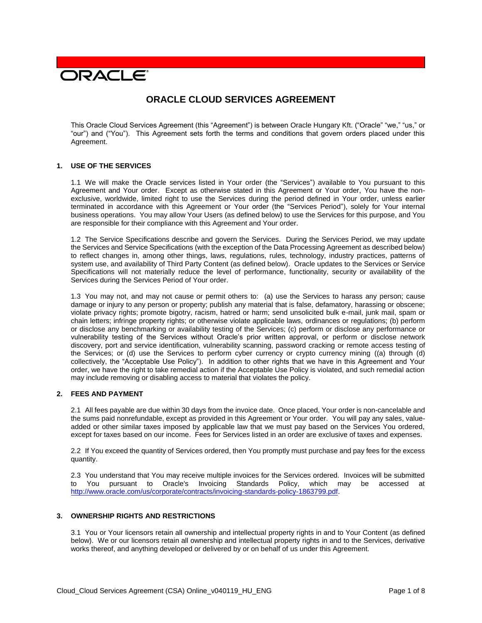# **DRACLE**

# **ORACLE CLOUD SERVICES AGREEMENT**

This Oracle Cloud Services Agreement (this "Agreement") is between Oracle Hungary Kft. ("Oracle" "we," "us," or "our") and ("You"). This Agreement sets forth the terms and conditions that govern orders placed under this Agreement.

#### **1. USE OF THE SERVICES**

1.1 We will make the Oracle services listed in Your order (the "Services") available to You pursuant to this Agreement and Your order. Except as otherwise stated in this Agreement or Your order, You have the nonexclusive, worldwide, limited right to use the Services during the period defined in Your order, unless earlier terminated in accordance with this Agreement or Your order (the "Services Period"), solely for Your internal business operations. You may allow Your Users (as defined below) to use the Services for this purpose, and You are responsible for their compliance with this Agreement and Your order.

1.2 The Service Specifications describe and govern the Services. During the Services Period, we may update the Services and Service Specifications (with the exception of the Data Processing Agreement as described below) to reflect changes in, among other things, laws, regulations, rules, technology, industry practices, patterns of system use, and availability of Third Party Content (as defined below). Oracle updates to the Services or Service Specifications will not materially reduce the level of performance, functionality, security or availability of the Services during the Services Period of Your order.

1.3 You may not, and may not cause or permit others to: (a) use the Services to harass any person; cause damage or injury to any person or property; publish any material that is false, defamatory, harassing or obscene; violate privacy rights; promote bigotry, racism, hatred or harm; send unsolicited bulk e-mail, junk mail, spam or chain letters; infringe property rights; or otherwise violate applicable laws, ordinances or regulations; (b) perform or disclose any benchmarking or availability testing of the Services; (c) perform or disclose any performance or vulnerability testing of the Services without Oracle's prior written approval, or perform or disclose network discovery, port and service identification, vulnerability scanning, password cracking or remote access testing of the Services; or (d) use the Services to perform cyber currency or crypto currency mining ((a) through (d) collectively, the "Acceptable Use Policy"). In addition to other rights that we have in this Agreement and Your order, we have the right to take remedial action if the Acceptable Use Policy is violated, and such remedial action may include removing or disabling access to material that violates the policy.

# **2. FEES AND PAYMENT**

2.1 All fees payable are due within 30 days from the invoice date. Once placed, Your order is non-cancelable and the sums paid nonrefundable, except as provided in this Agreement or Your order. You will pay any sales, valueadded or other similar taxes imposed by applicable law that we must pay based on the Services You ordered, except for taxes based on our income. Fees for Services listed in an order are exclusive of taxes and expenses.

2.2 If You exceed the quantity of Services ordered, then You promptly must purchase and pay fees for the excess quantity.

2.3 You understand that You may receive multiple invoices for the Services ordered. Invoices will be submitted to You pursuant to Oracle's Invoicing Standards Policy, which may be accessed at [http://www.oracle.com/us/corporate/contracts/invoicing-standards-policy-1863799.pdf.](http://www.oracle.com/us/corporate/contracts/invoicing-standards-policy-1863799.pdf)

#### **3. OWNERSHIP RIGHTS AND RESTRICTIONS**

3.1 You or Your licensors retain all ownership and intellectual property rights in and to Your Content (as defined below). We or our licensors retain all ownership and intellectual property rights in and to the Services, derivative works thereof, and anything developed or delivered by or on behalf of us under this Agreement.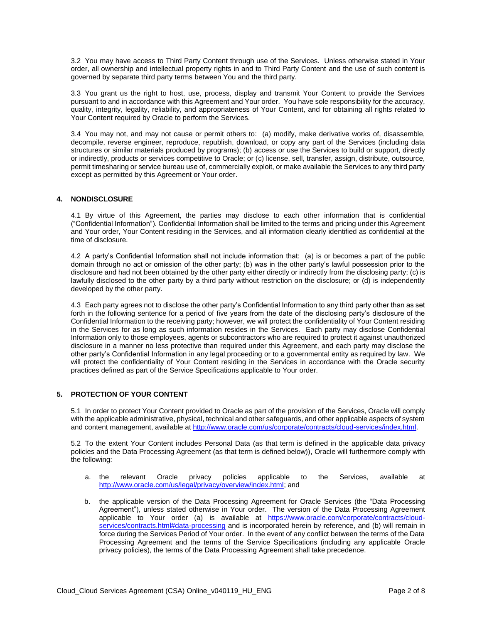3.2 You may have access to Third Party Content through use of the Services. Unless otherwise stated in Your order, all ownership and intellectual property rights in and to Third Party Content and the use of such content is governed by separate third party terms between You and the third party.

3.3 You grant us the right to host, use, process, display and transmit Your Content to provide the Services pursuant to and in accordance with this Agreement and Your order. You have sole responsibility for the accuracy, quality, integrity, legality, reliability, and appropriateness of Your Content, and for obtaining all rights related to Your Content required by Oracle to perform the Services.

3.4 You may not, and may not cause or permit others to: (a) modify, make derivative works of, disassemble, decompile, reverse engineer, reproduce, republish, download, or copy any part of the Services (including data structures or similar materials produced by programs); (b) access or use the Services to build or support, directly or indirectly, products or services competitive to Oracle; or (c) license, sell, transfer, assign, distribute, outsource, permit timesharing or service bureau use of, commercially exploit, or make available the Services to any third party except as permitted by this Agreement or Your order.

# **4. NONDISCLOSURE**

4.1 By virtue of this Agreement, the parties may disclose to each other information that is confidential ("Confidential Information"). Confidential Information shall be limited to the terms and pricing under this Agreement and Your order, Your Content residing in the Services, and all information clearly identified as confidential at the time of disclosure.

4.2 A party's Confidential Information shall not include information that: (a) is or becomes a part of the public domain through no act or omission of the other party; (b) was in the other party's lawful possession prior to the disclosure and had not been obtained by the other party either directly or indirectly from the disclosing party; (c) is lawfully disclosed to the other party by a third party without restriction on the disclosure; or (d) is independently developed by the other party.

4.3 Each party agrees not to disclose the other party's Confidential Information to any third party other than as set forth in the following sentence for a period of five years from the date of the disclosing party's disclosure of the Confidential Information to the receiving party; however, we will protect the confidentiality of Your Content residing in the Services for as long as such information resides in the Services. Each party may disclose Confidential Information only to those employees, agents or subcontractors who are required to protect it against unauthorized disclosure in a manner no less protective than required under this Agreement, and each party may disclose the other party's Confidential Information in any legal proceeding or to a governmental entity as required by law. We will protect the confidentiality of Your Content residing in the Services in accordance with the Oracle security practices defined as part of the Service Specifications applicable to Your order.

# **5. PROTECTION OF YOUR CONTENT**

5.1 In order to protect Your Content provided to Oracle as part of the provision of the Services, Oracle will comply with the applicable administrative, physical, technical and other safeguards, and other applicable aspects of system and content management, available at [http://www.oracle.com/us/corporate/contracts/cloud-services/index.html.](http://www.oracle.com/us/corporate/contracts/cloud-services/index.html)

5.2 To the extent Your Content includes Personal Data (as that term is defined in the applicable data privacy policies and the Data Processing Agreement (as that term is defined below)), Oracle will furthermore comply with the following:

- a. the relevant Oracle privacy policies applicable to the Services, available at [http://www.oracle.com/us/legal/privacy/overview/index.html;](http://www.oracle.com/us/legal/privacy/overview/index.html) and
- b. the applicable version of the Data Processing Agreement for Oracle Services (the "Data Processing Agreement"), unless stated otherwise in Your order. The version of the Data Processing Agreement applicable to Your order (a) is available at [https://www.oracle.com/corporate/contracts/cloud](https://www.oracle.com/corporate/contracts/cloud-services/contracts.html#data-processing)[services/contracts.html#data-processing](https://www.oracle.com/corporate/contracts/cloud-services/contracts.html#data-processing) and is incorporated herein by reference, and (b) will remain in force during the Services Period of Your order. In the event of any conflict between the terms of the Data Processing Agreement and the terms of the Service Specifications (including any applicable Oracle privacy policies), the terms of the Data Processing Agreement shall take precedence.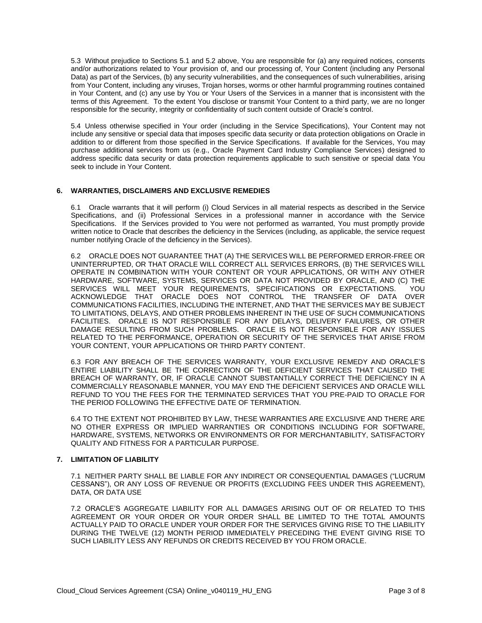5.3 Without prejudice to Sections 5.1 and 5.2 above, You are responsible for (a) any required notices, consents and/or authorizations related to Your provision of, and our processing of, Your Content (including any Personal Data) as part of the Services, (b) any security vulnerabilities, and the consequences of such vulnerabilities, arising from Your Content, including any viruses, Trojan horses, worms or other harmful programming routines contained in Your Content, and (c) any use by You or Your Users of the Services in a manner that is inconsistent with the terms of this Agreement. To the extent You disclose or transmit Your Content to a third party, we are no longer responsible for the security, integrity or confidentiality of such content outside of Oracle's control.

5.4 Unless otherwise specified in Your order (including in the Service Specifications), Your Content may not include any sensitive or special data that imposes specific data security or data protection obligations on Oracle in addition to or different from those specified in the Service Specifications. If available for the Services, You may purchase additional services from us (e.g., Oracle Payment Card Industry Compliance Services) designed to address specific data security or data protection requirements applicable to such sensitive or special data You seek to include in Your Content.

#### **6. WARRANTIES, DISCLAIMERS AND EXCLUSIVE REMEDIES**

6.1 Oracle warrants that it will perform (i) Cloud Services in all material respects as described in the Service Specifications, and (ii) Professional Services in a professional manner in accordance with the Service Specifications. If the Services provided to You were not performed as warranted, You must promptly provide written notice to Oracle that describes the deficiency in the Services (including, as applicable, the service request number notifying Oracle of the deficiency in the Services).

6.2 ORACLE DOES NOT GUARANTEE THAT (A) THE SERVICES WILL BE PERFORMED ERROR-FREE OR UNINTERRUPTED, OR THAT ORACLE WILL CORRECT ALL SERVICES ERRORS, (B) THE SERVICES WILL OPERATE IN COMBINATION WITH YOUR CONTENT OR YOUR APPLICATIONS, OR WITH ANY OTHER HARDWARE, SOFTWARE, SYSTEMS, SERVICES OR DATA NOT PROVIDED BY ORACLE, AND (C) THE SERVICES WILL MEET YOUR REQUIREMENTS, SPECIFICATIONS OR EXPECTATIONS. YOU ACKNOWLEDGE THAT ORACLE DOES NOT CONTROL THE TRANSFER OF DATA OVER COMMUNICATIONS FACILITIES, INCLUDING THE INTERNET, AND THAT THE SERVICES MAY BE SUBJECT TO LIMITATIONS, DELAYS, AND OTHER PROBLEMS INHERENT IN THE USE OF SUCH COMMUNICATIONS FACILITIES. ORACLE IS NOT RESPONSIBLE FOR ANY DELAYS, DELIVERY FAILURES, OR OTHER DAMAGE RESULTING FROM SUCH PROBLEMS. ORACLE IS NOT RESPONSIBLE FOR ANY ISSUES RELATED TO THE PERFORMANCE, OPERATION OR SECURITY OF THE SERVICES THAT ARISE FROM YOUR CONTENT, YOUR APPLICATIONS OR THIRD PARTY CONTENT.

6.3 FOR ANY BREACH OF THE SERVICES WARRANTY, YOUR EXCLUSIVE REMEDY AND ORACLE'S ENTIRE LIABILITY SHALL BE THE CORRECTION OF THE DEFICIENT SERVICES THAT CAUSED THE BREACH OF WARRANTY, OR, IF ORACLE CANNOT SUBSTANTIALLY CORRECT THE DEFICIENCY IN A COMMERCIALLY REASONABLE MANNER, YOU MAY END THE DEFICIENT SERVICES AND ORACLE WILL REFUND TO YOU THE FEES FOR THE TERMINATED SERVICES THAT YOU PRE-PAID TO ORACLE FOR THE PERIOD FOLLOWING THE EFFECTIVE DATE OF TERMINATION.

6.4 TO THE EXTENT NOT PROHIBITED BY LAW, THESE WARRANTIES ARE EXCLUSIVE AND THERE ARE NO OTHER EXPRESS OR IMPLIED WARRANTIES OR CONDITIONS INCLUDING FOR SOFTWARE, HARDWARE, SYSTEMS, NETWORKS OR ENVIRONMENTS OR FOR MERCHANTABILITY, SATISFACTORY QUALITY AND FITNESS FOR A PARTICULAR PURPOSE.

# **7. LIMITATION OF LIABILITY**

7.1 NEITHER PARTY SHALL BE LIABLE FOR ANY INDIRECT OR CONSEQUENTIAL DAMAGES ("LUCRUM CESSANS"), OR ANY LOSS OF REVENUE OR PROFITS (EXCLUDING FEES UNDER THIS AGREEMENT), DATA, OR DATA USE

7.2 ORACLE'S AGGREGATE LIABILITY FOR ALL DAMAGES ARISING OUT OF OR RELATED TO THIS AGREEMENT OR YOUR ORDER OR YOUR ORDER SHALL BE LIMITED TO THE TOTAL AMOUNTS ACTUALLY PAID TO ORACLE UNDER YOUR ORDER FOR THE SERVICES GIVING RISE TO THE LIABILITY DURING THE TWELVE (12) MONTH PERIOD IMMEDIATELY PRECEDING THE EVENT GIVING RISE TO SUCH LIABILITY LESS ANY REFUNDS OR CREDITS RECEIVED BY YOU FROM ORACLE.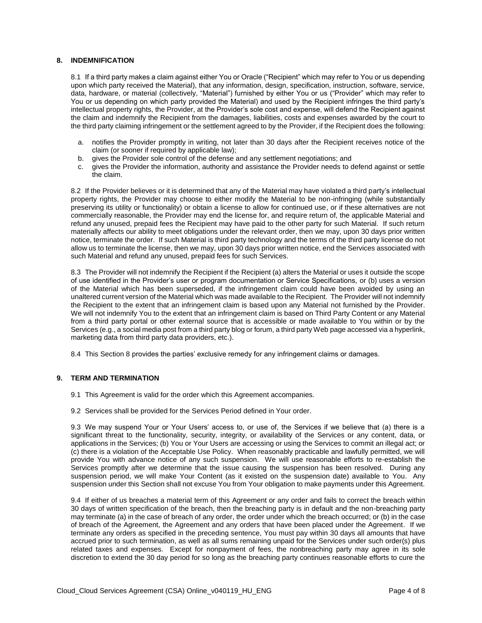#### **8. INDEMNIFICATION**

8.1 If a third party makes a claim against either You or Oracle ("Recipient" which may refer to You or us depending upon which party received the Material), that any information, design, specification, instruction, software, service, data, hardware, or material (collectively, "Material") furnished by either You or us ("Provider" which may refer to You or us depending on which party provided the Material) and used by the Recipient infringes the third party's intellectual property rights, the Provider, at the Provider's sole cost and expense, will defend the Recipient against the claim and indemnify the Recipient from the damages, liabilities, costs and expenses awarded by the court to the third party claiming infringement or the settlement agreed to by the Provider, if the Recipient does the following:

- a. notifies the Provider promptly in writing, not later than 30 days after the Recipient receives notice of the claim (or sooner if required by applicable law);
- b. gives the Provider sole control of the defense and any settlement negotiations; and
- c. gives the Provider the information, authority and assistance the Provider needs to defend against or settle the claim.

8.2 If the Provider believes or it is determined that any of the Material may have violated a third party's intellectual property rights, the Provider may choose to either modify the Material to be non-infringing (while substantially preserving its utility or functionality) or obtain a license to allow for continued use, or if these alternatives are not commercially reasonable, the Provider may end the license for, and require return of, the applicable Material and refund any unused, prepaid fees the Recipient may have paid to the other party for such Material. If such return materially affects our ability to meet obligations under the relevant order, then we may, upon 30 days prior written notice, terminate the order. If such Material is third party technology and the terms of the third party license do not allow us to terminate the license, then we may, upon 30 days prior written notice, end the Services associated with such Material and refund any unused, prepaid fees for such Services.

8.3 The Provider will not indemnify the Recipient if the Recipient (a) alters the Material or uses it outside the scope of use identified in the Provider's user or program documentation or Service Specifications, or (b) uses a version of the Material which has been superseded, if the infringement claim could have been avoided by using an unaltered current version of the Material which was made available to the Recipient. The Provider will not indemnify the Recipient to the extent that an infringement claim is based upon any Material not furnished by the Provider. We will not indemnify You to the extent that an infringement claim is based on Third Party Content or any Material from a third party portal or other external source that is accessible or made available to You within or by the Services (e.g., a social media post from a third party blog or forum, a third party Web page accessed via a hyperlink, marketing data from third party data providers, etc.).

8.4 This Section 8 provides the parties' exclusive remedy for any infringement claims or damages.

#### **9. TERM AND TERMINATION**

- 9.1 This Agreement is valid for the order which this Agreement accompanies.
- 9.2 Services shall be provided for the Services Period defined in Your order.

9.3 We may suspend Your or Your Users' access to, or use of, the Services if we believe that (a) there is a significant threat to the functionality, security, integrity, or availability of the Services or any content, data, or applications in the Services; (b) You or Your Users are accessing or using the Services to commit an illegal act; or (c) there is a violation of the Acceptable Use Policy. When reasonably practicable and lawfully permitted, we will provide You with advance notice of any such suspension. We will use reasonable efforts to re-establish the Services promptly after we determine that the issue causing the suspension has been resolved. During any suspension period, we will make Your Content (as it existed on the suspension date) available to You. Any suspension under this Section shall not excuse You from Your obligation to make payments under this Agreement.

9.4 If either of us breaches a material term of this Agreement or any order and fails to correct the breach within 30 days of written specification of the breach, then the breaching party is in default and the non-breaching party may terminate (a) in the case of breach of any order, the order under which the breach occurred; or (b) in the case of breach of the Agreement, the Agreement and any orders that have been placed under the Agreement. If we terminate any orders as specified in the preceding sentence, You must pay within 30 days all amounts that have accrued prior to such termination, as well as all sums remaining unpaid for the Services under such order(s) plus related taxes and expenses. Except for nonpayment of fees, the nonbreaching party may agree in its sole discretion to extend the 30 day period for so long as the breaching party continues reasonable efforts to cure the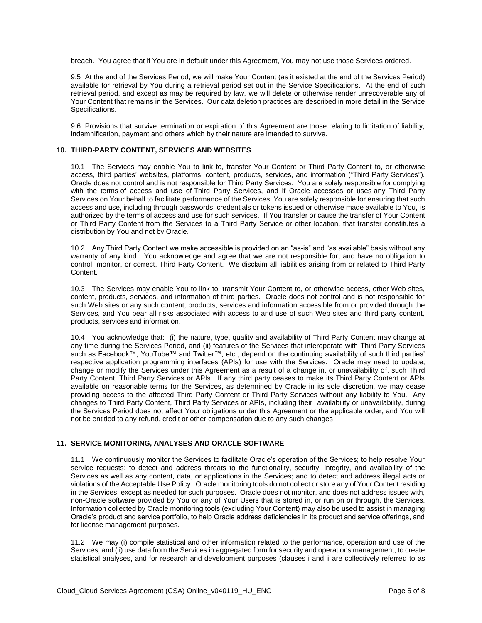breach. You agree that if You are in default under this Agreement, You may not use those Services ordered.

9.5 At the end of the Services Period, we will make Your Content (as it existed at the end of the Services Period) available for retrieval by You during a retrieval period set out in the Service Specifications. At the end of such retrieval period, and except as may be required by law, we will delete or otherwise render unrecoverable any of Your Content that remains in the Services. Our data deletion practices are described in more detail in the Service Specifications.

9.6 Provisions that survive termination or expiration of this Agreement are those relating to limitation of liability, indemnification, payment and others which by their nature are intended to survive.

#### **10. THIRD-PARTY CONTENT, SERVICES AND WEBSITES**

10.1 The Services may enable You to link to, transfer Your Content or Third Party Content to, or otherwise access, third parties' websites, platforms, content, products, services, and information ("Third Party Services"). Oracle does not control and is not responsible for Third Party Services. You are solely responsible for complying with the terms of access and use of Third Party Services, and if Oracle accesses or uses any Third Party Services on Your behalf to facilitate performance of the Services, You are solely responsible for ensuring that such access and use, including through passwords, credentials or tokens issued or otherwise made available to You, is authorized by the terms of access and use for such services. If You transfer or cause the transfer of Your Content or Third Party Content from the Services to a Third Party Service or other location, that transfer constitutes a distribution by You and not by Oracle.

10.2 Any Third Party Content we make accessible is provided on an "as-is" and "as available" basis without any warranty of any kind. You acknowledge and agree that we are not responsible for, and have no obligation to control, monitor, or correct, Third Party Content. We disclaim all liabilities arising from or related to Third Party Content.

10.3 The Services may enable You to link to, transmit Your Content to, or otherwise access, other Web sites, content, products, services, and information of third parties. Oracle does not control and is not responsible for such Web sites or any such content, products, services and information accessible from or provided through the Services, and You bear all risks associated with access to and use of such Web sites and third party content, products, services and information.

10.4 You acknowledge that: (i) the nature, type, quality and availability of Third Party Content may change at any time during the Services Period, and (ii) features of the Services that interoperate with Third Party Services such as Facebook™, YouTube™ and Twitter™, etc., depend on the continuing availability of such third parties' respective application programming interfaces (APIs) for use with the Services. Oracle may need to update, change or modify the Services under this Agreement as a result of a change in, or unavailability of, such Third Party Content, Third Party Services or APIs. If any third party ceases to make its Third Party Content or APIs available on reasonable terms for the Services, as determined by Oracle in its sole discretion, we may cease providing access to the affected Third Party Content or Third Party Services without any liability to You. Any changes to Third Party Content, Third Party Services or APIs, including their availability or unavailability, during the Services Period does not affect Your obligations under this Agreement or the applicable order, and You will not be entitled to any refund, credit or other compensation due to any such changes.

#### **11. SERVICE MONITORING, ANALYSES AND ORACLE SOFTWARE**

11.1 We continuously monitor the Services to facilitate Oracle's operation of the Services; to help resolve Your service requests; to detect and address threats to the functionality, security, integrity, and availability of the Services as well as any content, data, or applications in the Services; and to detect and address illegal acts or violations of the Acceptable Use Policy. Oracle monitoring tools do not collect or store any of Your Content residing in the Services, except as needed for such purposes. Oracle does not monitor, and does not address issues with, non-Oracle software provided by You or any of Your Users that is stored in, or run on or through, the Services. Information collected by Oracle monitoring tools (excluding Your Content) may also be used to assist in managing Oracle's product and service portfolio, to help Oracle address deficiencies in its product and service offerings, and for license management purposes.

11.2 We may (i) compile statistical and other information related to the performance, operation and use of the Services, and (ii) use data from the Services in aggregated form for security and operations management, to create statistical analyses, and for research and development purposes (clauses i and ii are collectively referred to as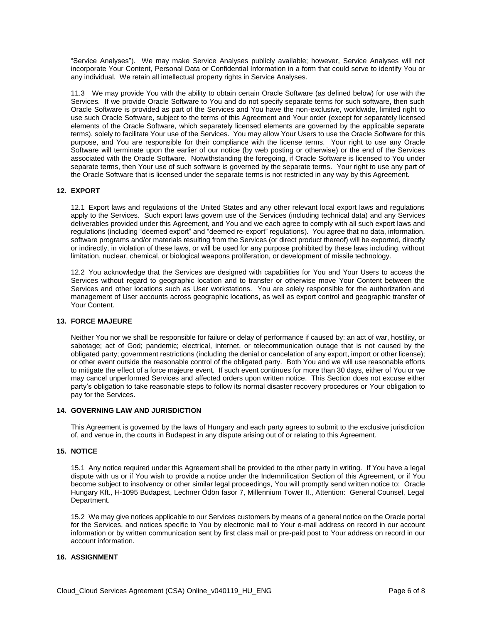"Service Analyses"). We may make Service Analyses publicly available; however, Service Analyses will not incorporate Your Content, Personal Data or Confidential Information in a form that could serve to identify You or any individual. We retain all intellectual property rights in Service Analyses.

11.3 We may provide You with the ability to obtain certain Oracle Software (as defined below) for use with the Services. If we provide Oracle Software to You and do not specify separate terms for such software, then such Oracle Software is provided as part of the Services and You have the non-exclusive, worldwide, limited right to use such Oracle Software, subject to the terms of this Agreement and Your order (except for separately licensed elements of the Oracle Software, which separately licensed elements are governed by the applicable separate terms), solely to facilitate Your use of the Services. You may allow Your Users to use the Oracle Software for this purpose, and You are responsible for their compliance with the license terms. Your right to use any Oracle Software will terminate upon the earlier of our notice (by web posting or otherwise) or the end of the Services associated with the Oracle Software. Notwithstanding the foregoing, if Oracle Software is licensed to You under separate terms, then Your use of such software is governed by the separate terms. Your right to use any part of the Oracle Software that is licensed under the separate terms is not restricted in any way by this Agreement.

# **12. EXPORT**

12.1 Export laws and regulations of the United States and any other relevant local export laws and regulations apply to the Services. Such export laws govern use of the Services (including technical data) and any Services deliverables provided under this Agreement, and You and we each agree to comply with all such export laws and regulations (including "deemed export" and "deemed re-export" regulations). You agree that no data, information, software programs and/or materials resulting from the Services (or direct product thereof) will be exported, directly or indirectly, in violation of these laws, or will be used for any purpose prohibited by these laws including, without limitation, nuclear, chemical, or biological weapons proliferation, or development of missile technology.

12.2 You acknowledge that the Services are designed with capabilities for You and Your Users to access the Services without regard to geographic location and to transfer or otherwise move Your Content between the Services and other locations such as User workstations. You are solely responsible for the authorization and management of User accounts across geographic locations, as well as export control and geographic transfer of Your Content.

## **13. FORCE MAJEURE**

Neither You nor we shall be responsible for failure or delay of performance if caused by: an act of war, hostility, or sabotage; act of God; pandemic; electrical, internet, or telecommunication outage that is not caused by the obligated party; government restrictions (including the denial or cancelation of any export, import or other license); or other event outside the reasonable control of the obligated party. Both You and we will use reasonable efforts to mitigate the effect of a force majeure event. If such event continues for more than 30 days, either of You or we may cancel unperformed Services and affected orders upon written notice. This Section does not excuse either party's obligation to take reasonable steps to follow its normal disaster recovery procedures or Your obligation to pay for the Services.

#### **14. GOVERNING LAW AND JURISDICTION**

This Agreement is governed by the laws of Hungary and each party agrees to submit to the exclusive jurisdiction of, and venue in, the courts in Budapest in any dispute arising out of or relating to this Agreement.

# **15. NOTICE**

15.1 Any notice required under this Agreement shall be provided to the other party in writing. If You have a legal dispute with us or if You wish to provide a notice under the Indemnification Section of this Agreement, or if You become subject to insolvency or other similar legal proceedings, You will promptly send written notice to: Oracle Hungary Kft., H-1095 Budapest, Lechner Ödön fasor 7, Millennium Tower II., Attention: General Counsel, Legal Department.

15.2 We may give notices applicable to our Services customers by means of a general notice on the Oracle portal for the Services, and notices specific to You by electronic mail to Your e-mail address on record in our account information or by written communication sent by first class mail or pre-paid post to Your address on record in our account information.

# **16. ASSIGNMENT**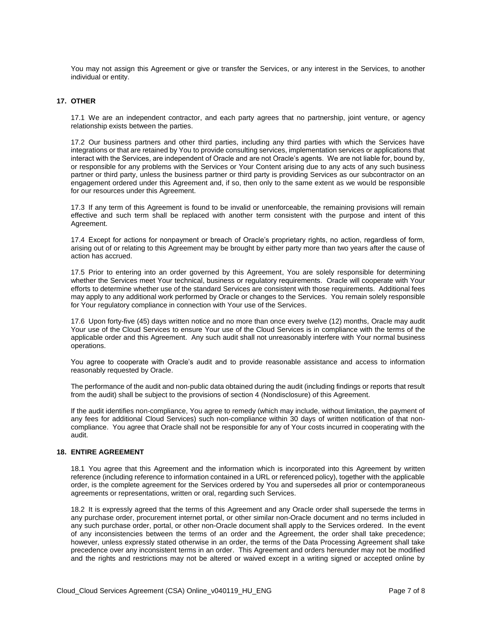You may not assign this Agreement or give or transfer the Services, or any interest in the Services, to another individual or entity.

#### **17. OTHER**

17.1 We are an independent contractor, and each party agrees that no partnership, joint venture, or agency relationship exists between the parties.

17.2 Our business partners and other third parties, including any third parties with which the Services have integrations or that are retained by You to provide consulting services, implementation services or applications that interact with the Services, are independent of Oracle and are not Oracle's agents. We are not liable for, bound by, or responsible for any problems with the Services or Your Content arising due to any acts of any such business partner or third party, unless the business partner or third party is providing Services as our subcontractor on an engagement ordered under this Agreement and, if so, then only to the same extent as we would be responsible for our resources under this Agreement.

17.3 If any term of this Agreement is found to be invalid or unenforceable, the remaining provisions will remain effective and such term shall be replaced with another term consistent with the purpose and intent of this Agreement.

17.4 Except for actions for nonpayment or breach of Oracle's proprietary rights, no action, regardless of form, arising out of or relating to this Agreement may be brought by either party more than two years after the cause of action has accrued.

17.5 Prior to entering into an order governed by this Agreement, You are solely responsible for determining whether the Services meet Your technical, business or regulatory requirements. Oracle will cooperate with Your efforts to determine whether use of the standard Services are consistent with those requirements. Additional fees may apply to any additional work performed by Oracle or changes to the Services. You remain solely responsible for Your regulatory compliance in connection with Your use of the Services.

17.6 Upon forty-five (45) days written notice and no more than once every twelve (12) months, Oracle may audit Your use of the Cloud Services to ensure Your use of the Cloud Services is in compliance with the terms of the applicable order and this Agreement. Any such audit shall not unreasonably interfere with Your normal business operations.

You agree to cooperate with Oracle's audit and to provide reasonable assistance and access to information reasonably requested by Oracle.

The performance of the audit and non-public data obtained during the audit (including findings or reports that result from the audit) shall be subject to the provisions of section 4 (Nondisclosure) of this Agreement.

If the audit identifies non-compliance, You agree to remedy (which may include, without limitation, the payment of any fees for additional Cloud Services) such non-compliance within 30 days of written notification of that noncompliance. You agree that Oracle shall not be responsible for any of Your costs incurred in cooperating with the audit.

#### **18. ENTIRE AGREEMENT**

18.1 You agree that this Agreement and the information which is incorporated into this Agreement by written reference (including reference to information contained in a URL or referenced policy), together with the applicable order, is the complete agreement for the Services ordered by You and supersedes all prior or contemporaneous agreements or representations, written or oral, regarding such Services.

18.2 It is expressly agreed that the terms of this Agreement and any Oracle order shall supersede the terms in any purchase order, procurement internet portal, or other similar non-Oracle document and no terms included in any such purchase order, portal, or other non-Oracle document shall apply to the Services ordered. In the event of any inconsistencies between the terms of an order and the Agreement, the order shall take precedence; however, unless expressly stated otherwise in an order, the terms of the Data Processing Agreement shall take precedence over any inconsistent terms in an order. This Agreement and orders hereunder may not be modified and the rights and restrictions may not be altered or waived except in a writing signed or accepted online by